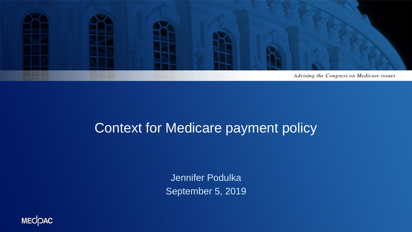

#### Context for Medicare payment policy

Jennifer Podulka September 5, 2019

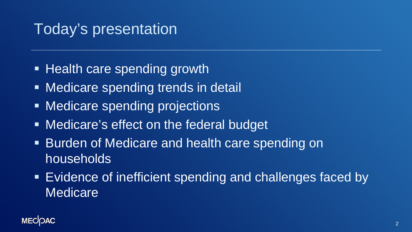### Today's presentation

- **Health care spending growth**
- **Medicare spending trends in detail**
- **Medicare spending projections**
- **Medicare's effect on the federal budget**
- **Burden of Medicare and health care spending on** households
- Evidence of inefficient spending and challenges faced by **Medicare**

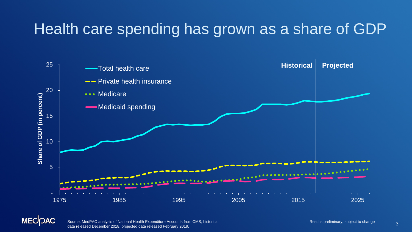### Health care spending has grown as a share of GDP





Source: MedPAC analysis of National Health Expenditure Accounts from CMS, historical **Source: MedPAC analysis of National Health Expenditure Accounts from CMS**, historical **Source: MedPAC analysis of National Health Expend** data released December 2018, projected data released February 2019.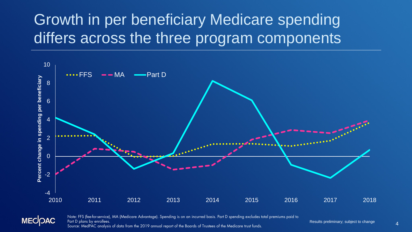# Growth in per beneficiary Medicare spending differs across the three program components





Note: FFS (fee-for-service), MA (Medicare Advantage). Spending is on an incurred basis. Part D spending excludes total premiums paid to Part D plans by enr<u>ollees.</u> Source: MedPAC analysis of data from the 2019 annual report of the Boards of Trustees of the Medicare trust funds.

Results preliminary; subject to change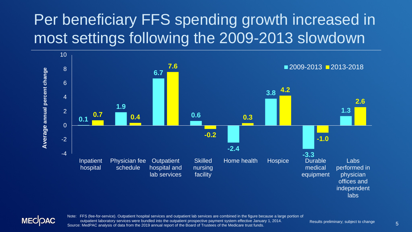# Per beneficiary FFS spending growth increased in most settings following the 2009-2013 slowdown





Note: FFS (fee-for-service). Outpatient hospital services and outpatient lab services are combined in the figure because a large portion of outpatient laboratory services were bundled into the outpatient prospective payment system effective January 1, 2014. Source: MedPAC analysis of data from the 2019 annual report of the Board of Trustees of the Medicare trust funds.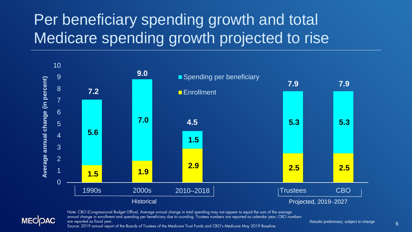# Per beneficiary spending growth and total Medicare spending growth projected to rise



Note: CBO (Congressional Budget Office). Average annual change in total spending may not appear to equal the sum of the average annual change in enrollment and spending per beneficiary due to rounding. Trustees numbers are reported as calendar year; CBO numbers are reported as fiscal year. Source: 2019 annual report of the Boards of Trustees of the Medicare Trust Funds and CBO's Medicare May 2019 Baseline.

**MECIOAC** 

6 Results preliminary; subject to change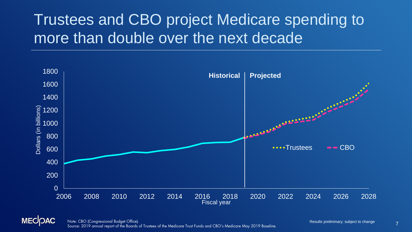## Trustees and CBO project Medicare spending to more than double over the next decade





7 Note: CBO (Congressional Budget Office). Source: 2019 annual report of the Boards of Trustees of the Medicare Trust Funds and CBO's Medicare May 2019 Baseline.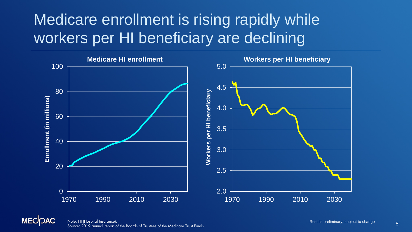## Medicare enrollment is rising rapidly while workers per HI beneficiary are declining



**MECOAC** 8 Note: HI (Hospital Insurance). Source: 2019 annual report of the Boards of Trustees of the Medicare Trust Funds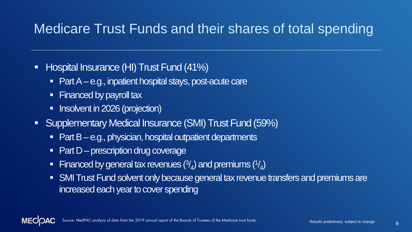#### Medicare Trust Funds and their shares of total spending

- **Hospital Insurance (HI) Trust Fund (41%)** 
	- $\blacksquare$  Part A e.g., inpatient hospital stays, post-acute care
	- Financed by payroll tax
	- **Insolvent in 2026 (projection)**
- **Supplementary Medical Insurance (SMI) Trust Fund (59%)** 
	- Part B e.g., physician, hospital outpatient departments
	- $\blacksquare$  Part D prescription drug coverage
	- Financed by general tax revenues  $(3/4)$  and premiums  $(1/4)$
	- SMI Trust Fund solvent only because general tax revenue transfers and premiums are increased each year to cover spending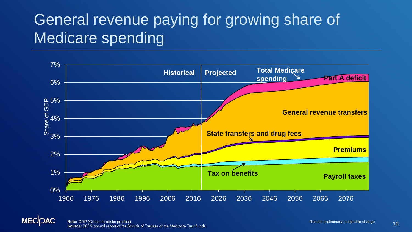## General revenue paying for growing share of Medicare spending





10 **Note:** GDP (Gross domestic product). **Source:** 2019 annual report of the Boards of Trustees of the Medicare Trust Funds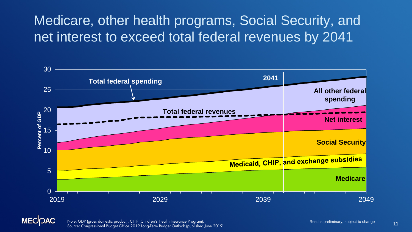### Medicare, other health programs, Social Security, and net interest to exceed total federal revenues by 2041



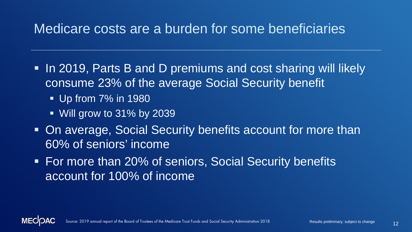#### Medicare costs are a burden for some beneficiaries

- In 2019, Parts B and D premiums and cost sharing will likely consume 23% of the average Social Security benefit
	- **Up from 7% in 1980**
	- Will grow to 31% by 2039
- **On average, Social Security benefits account for more than** 60% of seniors' income
- For more than 20% of seniors, Social Security benefits account for 100% of income

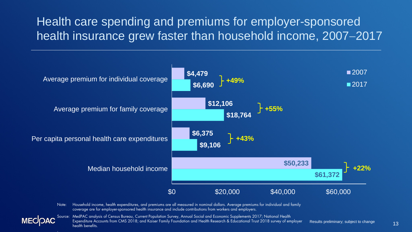#### Health care spending and premiums for employer-sponsored health insurance grew faster than household income, 2007−2017



.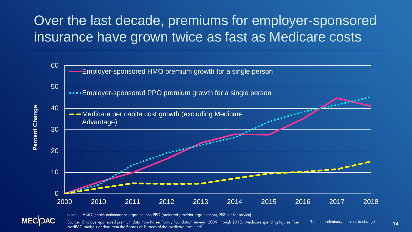### Over the last decade, premiums for employer-sponsored insurance have grown twice as fast as Medicare costs





Note: HMO (health maintenance organization), PPO (preferred provider organization), FFS (fee-for-service).

Source: Employer-sponsored premium data from Kaiser Family Foundation surveys, 2009 through 2018. Medicare spending figures from MedPAC analysis of data from the Boards of Trustees of the Medicare trust funds.

Results preliminary; subject to change 14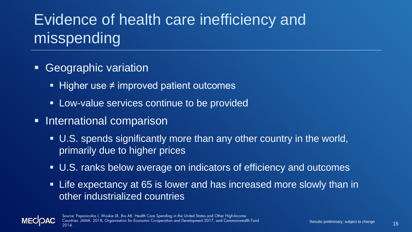# Evidence of health care inefficiency and misspending

- **Geographic variation** 
	- Higher use  $\neq$  improved patient outcomes
	- **Low-value services continue to be provided**
- **International comparison** 
	- U.S. spends significantly more than any other country in the world, primarily due to higher prices
	- U.S. ranks below average on indicators of efficiency and outcomes
	- Life expectancy at 65 is lower and has increased more slowly than in other industrialized countries



15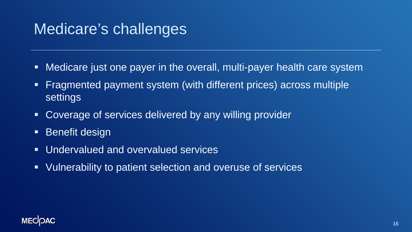### Medicare's challenges

- Medicare just one payer in the overall, multi-payer health care system
- **Fragmented payment system (with different prices) across multiple** settings
- **Coverage of services delivered by any willing provider**
- **Benefit design**
- **Undervalued and overvalued services**
- Vulnerability to patient selection and overuse of services